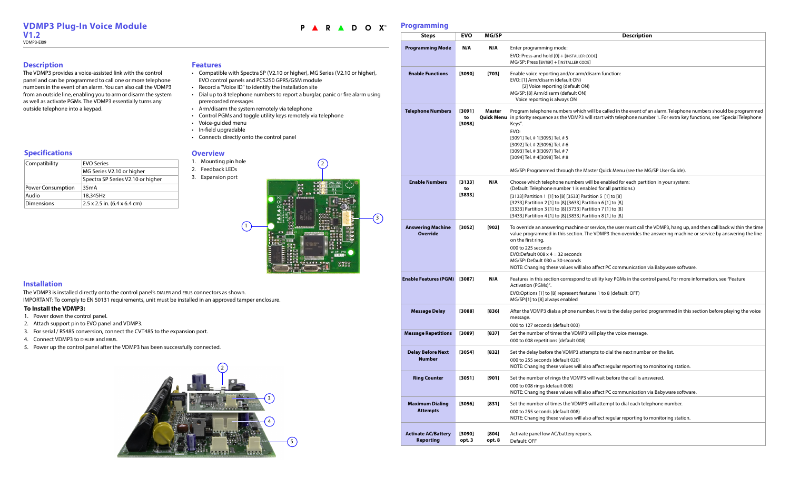## **Installation**

The VDMP3 is installed directly onto the control panel's DIALER and EBUS connectors as shown. IMPORTANT: To comply to EN 50131 requirements, unit must be installed in an approved tamper enclosure.

#### **Programming**

## **Description**

The VDMP3 provides a voice-assisted link with the control panel and can be programmed to call one or more telephone numbers in the event of an alarm. You can also call the VDMP3 from an outside line, enabling you to arm or disarm the system as well as activate PGMs. The VDMP3 essentially turns any outside telephone into a keypad.

### **Features**

- Compatible with Spectra SP (V2.10 or higher), MG Series (V2.10 or higher), EVO control panels and PCS250 GPRS/GSM module
- Record a "Voice ID" to identify the installation site
- Dial up to 8 telephone numbers to report a burglar, panic or fire alarm using prerecorded messages
- Arm/disarm the system remotely via telephone
- Control PGMs and toggle utility keys remotely via telephone
- Voice-guided menu
- In-field upgradable
- Connects directly onto the control panel



## **Overview**

- 1. Mounting pin hole
- 2. Feedback LEDs
- 3. Expansion port

2

## **Specifications**

| Compatibility            | <b>EVO Series</b>                                  |
|--------------------------|----------------------------------------------------|
|                          | MG Series V2.10 or higher                          |
|                          | Spectra SP Series V2.10 or higher                  |
| <b>Power Consumption</b> | 35mA                                               |
| Audio                    | 18,345Hz                                           |
| <b>Dimensions</b>        | $2.5 \times 2.5$ in. $(6.4 \times 6.4 \text{ cm})$ |

<span id="page-0-0"></span>3



#### **Description**

LER CODE]  $\mathsf{CODE}$ ]

m/disarm function:

 $(ON)$ 

ich will be called in the event of an alarm. Telephone numbers should be programmed P3 will start with telephone number 1. For extra key functions, see "Special Telephone

e Master Quick Menu (see the MG/SP User Guide).

**Prs will be enabled for each partition in your system:** enabled for all partitions.)  $\sqrt{3}$  Partition 5  $\sqrt{1}$  to  $\sqrt{8}$ ] | Partition 6 [1] to [8] [3333] Partition 3 [1] to [8] [3733] Partition 7 [1] to [8]  $[$  Partition 8  $[1]$  to  $[8]$ 

ne or service, the user must call the VDMP3, hang up, and then call back within the time on. The VDMP3 then overrides the answering machine or service by answering the line

also affect PC communication via Babyware software.

nd to utility key PGMs in the control panel. For more information, see "Feature

features 1 to 8 (default: OFF)

umber, it waits the delay period programmed in this section before playing the voice

**MP3 will play the voice message.** 

attempts to dial the next number on the list.

I also affect regular reporting to monitoring station.

**RP3 will wait before the call is answered.** 

### **To Install the VDMP3:**

I also affect PC communication via Babyware software.

**IP3 will attempt to dial each telephone number.** 

I also affect regular reporting to monitoring station.

ports.

- 1. Power down the control panel.
- 2. Attach support pin to EVO panel and VDMP3.
- 3. For serial / RS485 conversion, connect the CVT485 to the expansion port.
- 4. Connect VDMP3 to DIALER and EBUS.
- 5. Power up the control panel after the VDMP3 has been successfully connected.

#### P<sup>A</sup> R A D O X™

| <b>Steps</b>                                   | <b>EVO</b>             | MG/SP           |                                                                                                                                                                                                                                                      |
|------------------------------------------------|------------------------|-----------------|------------------------------------------------------------------------------------------------------------------------------------------------------------------------------------------------------------------------------------------------------|
| <b>Programming Mode</b>                        | N/A                    | N/A             | Enter programming mode:<br>EVO: Press and hold [0] + [INSTALLER<br>MG/SP: Press [ENTER] + [INSTALLER COD                                                                                                                                             |
| <b>Enable Functions</b>                        | [3090]                 | $[703]$         | Enable voice reporting and/or arm/<br>EVO: [1] Arm/disarm (default ON)<br>[2] Voice reporting (default ON<br>MG/SP: [8] Arm/disarm (default ON)<br>Voice reporting is always ON                                                                      |
| <b>Telephone Numbers</b>                       | [3091]<br>to<br>[3098] | Master          | Program telephone numbers which<br>Quick Menu in priority sequence as the VDMP3 v<br>Keys".<br>EVO:<br>[3091] Tel. # 1[3095] Tel. # 5<br>[3092] Tel. # 2[3096] Tel. # 6<br>[3093] Tel. # 3[3097] Tel. # 7<br>[3094] Tel. # 4[3098] Tel. # 8          |
|                                                |                        |                 | MG/SP: Programmed through the M                                                                                                                                                                                                                      |
| <b>Enable Numbers</b>                          | [3133]<br>to<br>[3833] | N/A             | Choose which telephone numbers v<br>(Default: Telephone number 1 is ena<br>[3133] Partition 1 [1] to [8] [3533] Par<br>[3233] Partition 2 [1] to [8] [3633] Pa<br>[3333] Partition 3 [1] to [8] [3733] Pa<br>[3433] Partition 4 [1] to [8] [3833] Pa |
| <b>Answering Machine</b><br><b>Override</b>    | [3052]                 | $[902]$         | To override an answering machine o<br>value programmed in this section. T<br>on the first ring.<br>000 to 225 seconds<br>EVO:Default 008 $x$ 4 = 32 seconds<br>$MG/SP$ : Default 030 = 30 seconds<br>NOTE: Changing these values will al             |
| <b>Enable Features (PGM)</b>                   | [3087]                 | N/A             | Features in this section correspond<br>Activation (PGMs)".<br>EVO:Options [1] to [8] represent fea<br>MG/SP:[1] to [8] always enabled                                                                                                                |
| <b>Message Delay</b>                           | $[3088]$               | $[836]$         | After the VDMP3 dials a phone num<br>000 to 127 seconds (default 003)                                                                                                                                                                                |
| <b>Message Repetitions</b>                     | $[3089]$               | $[837]$         | Set the number of times the VDMP3<br>000 to 008 repetitions (default 008)                                                                                                                                                                            |
| <b>Delay Before Next</b><br><b>Number</b>      | $[3054]$               | $[832]$         | Set the delay before the VDMP3 atto<br>000 to 255 seconds (default 020)<br>NOTE: Changing these values will al                                                                                                                                       |
| <b>Ring Counter</b>                            | [3051]                 | [901]           | Set the number of rings the VDMP3<br>000 to 008 rings (default 008)<br>NOTE: Changing these values will al                                                                                                                                           |
| <b>Maximum Dialing</b><br><b>Attempts</b>      | [3056]                 | $[831]$         | Set the number of times the VDMP3<br>000 to 255 seconds (default 008)<br>NOTE: Changing these values will al                                                                                                                                         |
| <b>Activate AC/Battery</b><br><b>Reporting</b> | [3090]<br>opt. 3       | [804]<br>opt. 8 | Activate panel low AC/battery repor<br>Default: OFF                                                                                                                                                                                                  |